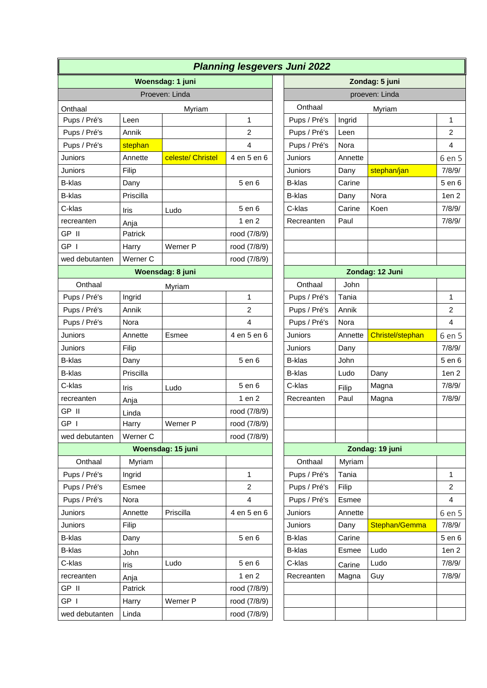| <b>Planning lesgevers Juni 2022</b> |           |                   |                         |  |                   |         |                  |                  |  |
|-------------------------------------|-----------|-------------------|-------------------------|--|-------------------|---------|------------------|------------------|--|
| Woensdag: 1 juni                    |           |                   |                         |  | Zondag: 5 juni    |         |                  |                  |  |
| Proeven: Linda                      |           |                   |                         |  | proeven: Linda    |         |                  |                  |  |
| Onthaal<br>Myriam                   |           |                   |                         |  | Onthaal<br>Myriam |         |                  |                  |  |
| Pups / Pré's                        | Leen      |                   | $\mathbf{1}$            |  | Pups / Pré's      | Ingrid  |                  | $\mathbf{1}$     |  |
| Pups / Pré's                        | Annik     |                   | $\overline{c}$          |  | Pups / Pré's      | Leen    |                  | $\overline{2}$   |  |
| Pups / Pré's                        | stephan   |                   | 4                       |  | Pups / Pré's      | Nora    |                  | $\overline{4}$   |  |
| Juniors                             | Annette   | celeste/ Christel | 4 en 5 en 6             |  | Juniors           | Annette |                  | 6 en 5           |  |
| Juniors                             | Filip     |                   |                         |  | Juniors           | Dany    | stephan/jan      | 7/8/9/           |  |
| <b>B-klas</b>                       | Dany      |                   | 5 en 6                  |  | <b>B-klas</b>     | Carine  |                  | 5 en 6           |  |
| B-klas                              | Priscilla |                   |                         |  | <b>B-klas</b>     | Dany    | Nora             | 1en <sub>2</sub> |  |
| C-klas                              | Iris      | Ludo              | 5 en 6                  |  | C-klas            | Carine  | Koen             | 7/8/9/           |  |
| recreanten                          | Anja      |                   | 1 en 2                  |  | Recreanten        | Paul    |                  | 7/8/9/           |  |
| GP II                               | Patrick   |                   | rood (7/8/9)            |  |                   |         |                  |                  |  |
| GP I                                | Harry     | Werner P          | rood (7/8/9)            |  |                   |         |                  |                  |  |
| wed debutanten                      | Werner C  |                   | rood (7/8/9)            |  |                   |         |                  |                  |  |
| Woensdag: 8 juni                    |           |                   |                         |  |                   |         | Zondag: 12 Juni  |                  |  |
| Onthaal                             |           | Myriam            |                         |  | Onthaal           | John    |                  |                  |  |
| Pups / Pré's                        | Ingrid    |                   | 1                       |  | Pups / Pré's      | Tania   |                  | $\mathbf{1}$     |  |
| Pups / Pré's                        | Annik     |                   | $\overline{c}$          |  | Pups / Pré's      | Annik   |                  | $\overline{2}$   |  |
| Pups / Pré's                        | Nora      |                   | 4                       |  | Pups / Pré's      | Nora    |                  | $\overline{4}$   |  |
| Juniors                             | Annette   | Esmee             | 4 en 5 en 6             |  | Juniors           | Annette | Christel/stephan | 6 en 5           |  |
| Juniors                             | Filip     |                   |                         |  | Juniors           | Dany    |                  | 7/8/9/           |  |
| <b>B-klas</b>                       | Dany      |                   | 5 en 6                  |  | <b>B-klas</b>     | John    |                  | 5 en 6           |  |
| B-klas                              | Priscilla |                   |                         |  | B-klas            | Ludo    | Dany             | 1en <sub>2</sub> |  |
| C-klas                              | Iris      | Ludo              | 5 en 6                  |  | C-klas            | Filip   | Magna            | 7/8/9/           |  |
| recreanten                          | Anja      |                   | 1 en 2                  |  | Recreanten        | Paul    | Magna            | 7/8/9/           |  |
| GP II                               | Linda     |                   | rood (7/8/9)            |  |                   |         |                  |                  |  |
| GP I                                | Harry     | Werner P          | rood (7/8/9)            |  |                   |         |                  |                  |  |
| wed debutanten                      | Werner C  |                   | rood (7/8/9)            |  |                   |         |                  |                  |  |
| Woensdag: 15 juni                   |           |                   |                         |  | Zondag: 19 juni   |         |                  |                  |  |
| Onthaal                             | Myriam    |                   |                         |  | Onthaal           | Myriam  |                  |                  |  |
| Pups / Pré's                        | Ingrid    |                   | 1                       |  | Pups / Pré's      | Tania   |                  | $\mathbf{1}$     |  |
| Pups / Pré's                        | Esmee     |                   | $\overline{2}$          |  | Pups / Pré's      | Filip   |                  | $\overline{2}$   |  |
| Pups / Pré's                        | Nora      |                   | $\overline{\mathbf{4}}$ |  | Pups / Pré's      | Esmee   |                  | $\overline{4}$   |  |
| Juniors                             | Annette   | Priscilla         | 4 en 5 en 6             |  | Juniors           | Annette |                  | 6 en 5           |  |
| Juniors                             | Filip     |                   |                         |  | Juniors           | Dany    | Stephan/Gemma    | 7/8/9/           |  |
| <b>B-klas</b>                       | Dany      |                   | 5 en 6                  |  | <b>B-klas</b>     | Carine  |                  | 5 en 6           |  |
| B-klas                              | John      |                   |                         |  | <b>B-klas</b>     | Esmee   | Ludo             | 1en <sub>2</sub> |  |
| C-klas                              | Iris      | Ludo              | 5 en 6                  |  | C-klas            | Carine  | Ludo             | 7/8/9/           |  |
| recreanten                          | Anja      |                   | 1 en 2                  |  | Recreanten        | Magna   | Guy              | 7/8/9/           |  |
| GP II                               | Patrick   |                   | rood (7/8/9)            |  |                   |         |                  |                  |  |
| GP I                                | Harry     | Werner P          | rood (7/8/9)            |  |                   |         |                  |                  |  |
| wed debutanten                      | Linda     |                   | rood (7/8/9)            |  |                   |         |                  |                  |  |

| <b>Juni 2022</b> |         |                  |                  |  |  |  |  |
|------------------|---------|------------------|------------------|--|--|--|--|
| Zondag: 5 juni   |         |                  |                  |  |  |  |  |
| proeven: Linda   |         |                  |                  |  |  |  |  |
| Onthaal          |         | Myriam           |                  |  |  |  |  |
| Pups / Pré's     | Ingrid  |                  | 1                |  |  |  |  |
| Pups / Pré's     | Leen    |                  | 2                |  |  |  |  |
| Pups / Pré's     | Nora    |                  | 4                |  |  |  |  |
| Juniors          | Annette |                  | 6 en 5           |  |  |  |  |
| Juniors          | Dany    | stephan/jan      | 7/8/9/           |  |  |  |  |
| <b>B-klas</b>    | Carine  |                  | 5 en 6           |  |  |  |  |
| <b>B-klas</b>    | Dany    | Nora             | 1en <sub>2</sub> |  |  |  |  |
| C-klas           | Carine  | Koen             | 7/8/9/           |  |  |  |  |
| Recreanten       | Paul    |                  | 7/8/9/           |  |  |  |  |
|                  |         |                  |                  |  |  |  |  |
|                  |         |                  |                  |  |  |  |  |
|                  |         |                  |                  |  |  |  |  |
|                  |         | Zondag: 12 Juni  |                  |  |  |  |  |
| Onthaal          | John    |                  |                  |  |  |  |  |
| Pups / Pré's     | Tania   |                  | 1                |  |  |  |  |
| Pups / Pré's     | Annik   |                  | 2                |  |  |  |  |
| Pups / Pré's     | Nora    |                  | 4                |  |  |  |  |
| Juniors          | Annette | Christel/stephan | 6 en 5           |  |  |  |  |
| Juniors          | Dany    |                  | 7/8/9/           |  |  |  |  |
| B-klas           | John    |                  | 5 en 6           |  |  |  |  |
| <b>B-klas</b>    | Ludo    | Dany             | 1en <sub>2</sub> |  |  |  |  |
| C-klas           | Filip   | Magna            | 7/8/9/           |  |  |  |  |
| Recreanten       | Paul    | Magna            | 7/8/9/           |  |  |  |  |
|                  |         |                  |                  |  |  |  |  |
|                  |         |                  |                  |  |  |  |  |
|                  |         |                  |                  |  |  |  |  |
| Zondag: 19 juni  |         |                  |                  |  |  |  |  |
| Onthaal          | Myriam  |                  |                  |  |  |  |  |
| Pups / Pré's     | Tania   |                  | 1                |  |  |  |  |
| Pups / Pré's     | Filip   |                  | 2                |  |  |  |  |
| Pups / Pré's     | Esmee   |                  | 4                |  |  |  |  |
| Juniors          | Annette |                  | 6 en 5           |  |  |  |  |
| Juniors          | Dany    | Stephan/Gemma    | 7/8/9/           |  |  |  |  |
| <b>B-klas</b>    | Carine  |                  | 5 en 6           |  |  |  |  |
| <b>B-klas</b>    | Esmee   | Ludo             | 1en <sub>2</sub> |  |  |  |  |
| C-klas           | Carine  | Ludo             | 7/8/9/           |  |  |  |  |
| Recreanten       | Magna   | Guy              | 7/8/9/           |  |  |  |  |
|                  |         |                  |                  |  |  |  |  |
|                  |         |                  |                  |  |  |  |  |
|                  |         |                  |                  |  |  |  |  |

1